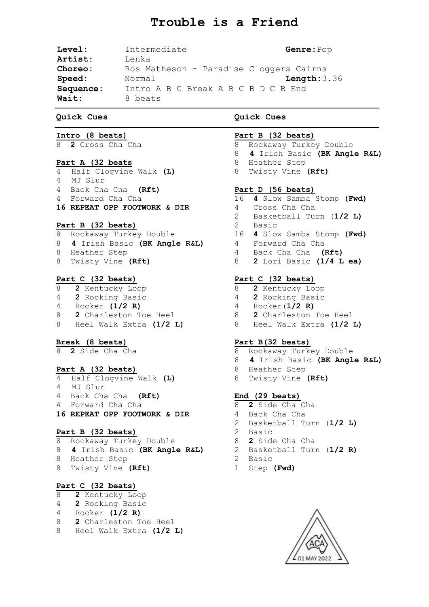# **Trouble is a Friend**

| Level:    | Intermediate                            | Genre: Pop  |  |  |  |  |
|-----------|-----------------------------------------|-------------|--|--|--|--|
| Artist:   | Lenka                                   |             |  |  |  |  |
| Choreo:   | Ros Matheson - Paradise Cloggers Cairns |             |  |  |  |  |
| Speed:    | Normal                                  | Length:3.36 |  |  |  |  |
| Sequence: | Intro A B C Break A B C B D C B End     |             |  |  |  |  |
| Wait:     | 8 beats                                 |             |  |  |  |  |

#### **Quick Cues**

## **Intro (8 beats)**

8 **2** Cross Cha Cha

#### **Part A (32 beats**

4 Half Clogvine Walk **(L)** 4 MJ Slur 4 Back Cha Cha **(Rft)** 4 Forward Cha Cha **16 REPEAT OPP FOOTWORK & DIR**

#### **Part B (32 beats)**

- 8 Rockaway Turkey Double 8 **4** Irish Basic **(BK Angle R&L)** 4 Forward Cha Cha 8 Heather Step
- 8 Twisty Vine **(Rft)**

## **Part C (32 beats)**

- 8 **2** Kentucky Loop 4 **2** Rocking Basic 4 Rocker **(1/2 R)**
- 
- 8 **2** Charleston Toe Heel 8 Heel Walk Extra **(1/2 L)**
- 

## **Break (8 beats)**

8 **2** Side Cha Cha

#### **Part A (32 beats)**

- 4 Half Clogvine Walk **(L)** 4 MJ Slur 4 Back Cha Cha **(Rft)** 4 Forward Cha Cha
- **16 REPEAT OPP FOOTWORK & DIR**

#### **Part B (32 beats)**

8 Rockaway Turkey Double 8 **4** Irish Basic **(BK Angle R&L)** 8 Heather Step 8 Twisty Vine **(Rft)**

## **Part C (32 beats)**

- 8 **2** Kentucky Loop
- 4 **2** Rocking Basic
- 4 Rocker **(1/2 R)**
- 8 **2** Charleston Toe Heel
- 8 Heel Walk Extra **(1/2 L)**

#### **Quick Cues**

#### **Part B (32 beats)**

- 8 Rockaway Turkey Double
- 8 **4** Irish Basic **(BK Angle R&L)**
- 8 Heather Step
- 8 Twisty Vine **(Rft)**

## **Part D (56 beats)**

- 16 **4** Slow Samba Stomp **(Fwd)**
- 4 Cross Cha Cha
- 2 Basketball Turn (**1/2 L)**
- 2Basic
- 16 **4** Slow Samba Stomp **(Fwd)**
	-
- 4 Back Cha Cha **(Rft)**
- 8 **2** Lori Basic **(1/4 L ea)**

## **Part C (32 beats)**

- 8 **2** Kentucky Loop
- 4 **2** Rocking Basic
- 4 Rocker(**1/2 R)**
	- 8 **2** Charleston Toe Heel
- 8 Heel Walk Extra **(1/2 L)**

#### **Part B(32 beats)**

- 8 Rockaway Turkey Double
- 8 **4** Irish Basic **(BK Angle R&L)**
- 8 Heather Step
- 8 Twisty Vine **(Rft)**

#### **End (29 beats)**

- 8 **2** Side Cha Cha
- 4 Back Cha Cha
- 2 Basketball Turn (**1/2 L)**
- 2Basic
- 8 **2** Side Cha Cha
- 2 Basketball Turn (**1/2 R)**
- 2 Basic
- 1 Step **(Fwd)**